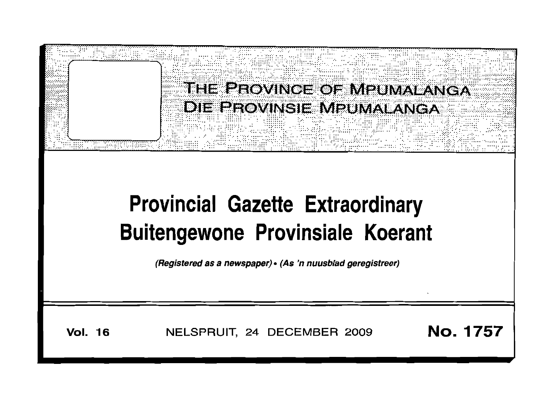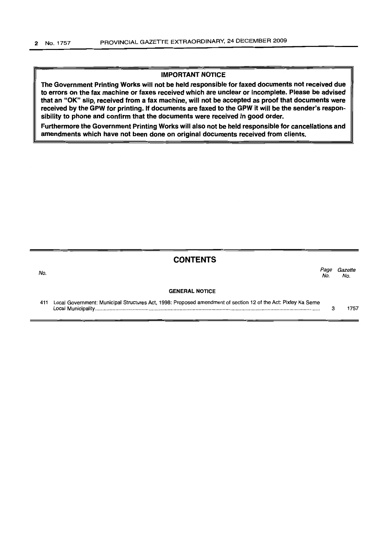### **IMPORTANT NOTICE**

The Government Printing Works will not be held responsible for faxed documents not received due to errors on the fax machine or faxes received which are unclear or incomplete. Please be advised that an "OK" slip, received from a fax machine, will not be accepted as proof that documents were received by the GPW for printing. If documents are faxed to the GPW it will be the sender's responsibility to phone and confirm that the documents were received in good order.

Furthermore the Government Printing Works will also not be held responsible for cancellations and amendments which have not been done on original documents received from clients.

| <b>CONTENTS</b> |  |  |  |
|-----------------|--|--|--|
|-----------------|--|--|--|

| No. |                                                                                                               | Page<br>No. | Gazette<br>No. |
|-----|---------------------------------------------------------------------------------------------------------------|-------------|----------------|
|     | <b>GENERAL NOTICE</b>                                                                                         |             |                |
| 411 | Local Government: Municipal Structures Act, 1998: Proposed amendment of section 12 of the Act: Pixley Ka Seme |             | 757            |